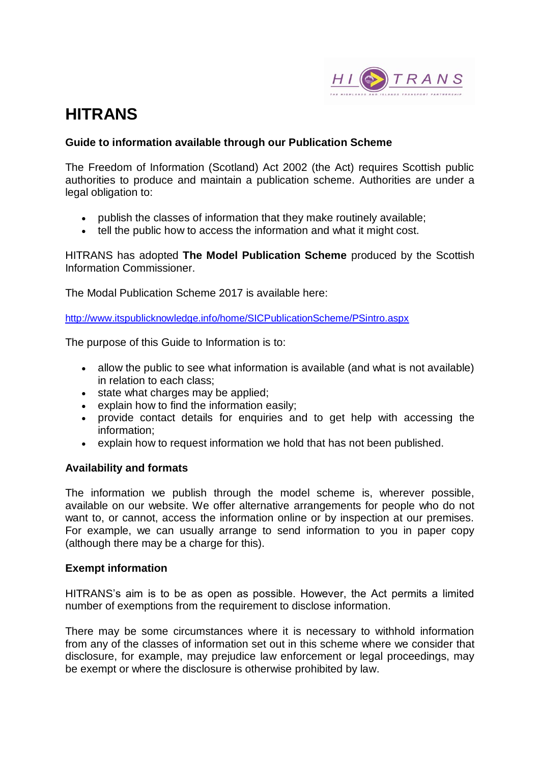

# **HITRANS**

#### **Guide to information available through our Publication Scheme**

The Freedom of Information (Scotland) Act 2002 (the Act) requires Scottish public authorities to produce and maintain a publication scheme. Authorities are under a legal obligation to:

- publish the classes of information that they make routinely available;
- tell the public how to access the information and what it might cost.

HITRANS has adopted **The Model Publication Scheme** produced by the Scottish Information Commissioner.

The Modal Publication Scheme 2017 is available here:

<http://www.itspublicknowledge.info/home/SICPublicationScheme/PSintro.aspx>

The purpose of this Guide to Information is to:

- allow the public to see what information is available (and what is not available) in relation to each class;
- state what charges may be applied;
- explain how to find the information easily;
- provide contact details for enquiries and to get help with accessing the information;
- explain how to request information we hold that has not been published.

#### **Availability and formats**

The information we publish through the model scheme is, wherever possible, available on our website. We offer alternative arrangements for people who do not want to, or cannot, access the information online or by inspection at our premises. For example, we can usually arrange to send information to you in paper copy (although there may be a charge for this).

#### **Exempt information**

HITRANS's aim is to be as open as possible. However, the Act permits a limited number of exemptions from the requirement to disclose information.

There may be some circumstances where it is necessary to withhold information from any of the classes of information set out in this scheme where we consider that disclosure, for example, may prejudice law enforcement or legal proceedings, may be exempt or where the disclosure is otherwise prohibited by law.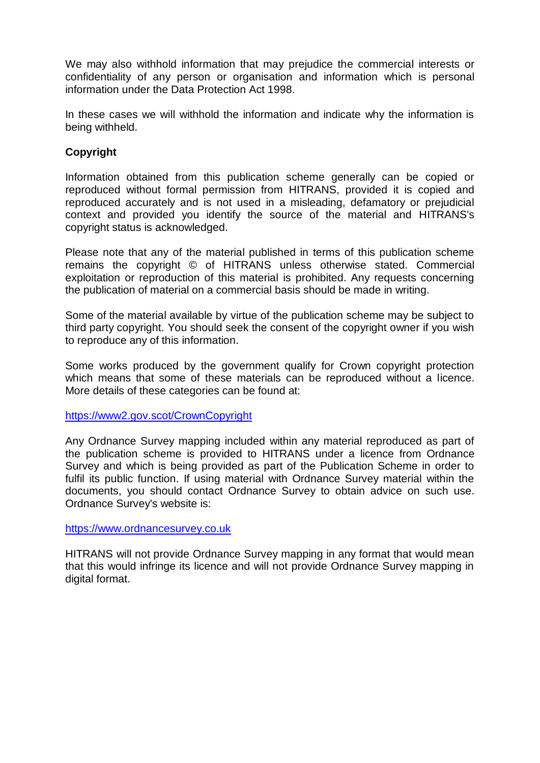We may also withhold information that may prejudice the commercial interests or confidentiality of any person or organisation and information which is personal information under the Data Protection Act 1998.

In these cases we will withhold the information and indicate why the information is being withheld.

## **Copyright**

Information obtained from this publication scheme generally can be copied or reproduced without formal permission from HITRANS, provided it is copied and reproduced accurately and is not used in a misleading, defamatory or prejudicial context and provided you identify the source of the material and HITRANS's copyright status is acknowledged.

Please note that any of the material published in terms of this publication scheme remains the copyright © of HITRANS unless otherwise stated. Commercial exploitation or reproduction of this material is prohibited. Any requests concerning the publication of material on a commercial basis should be made in writing.

Some of the material available by virtue of the publication scheme may be subject to third party copyright. You should seek the consent of the copyright owner if you wish to reproduce any of this information.

Some works produced by the government qualify for Crown copyright protection which means that some of these materials can be reproduced without a licence. More details of these categories can be found at:

<https://www2.gov.scot/CrownCopyright>

Any Ordnance Survey mapping included within any material reproduced as part of the publication scheme is provided to HITRANS under a licence from Ordnance Survey and which is being provided as part of the Publication Scheme in order to fulfil its public function. If using material with Ordnance Survey material within the documents, you should contact Ordnance Survey to obtain advice on such use. Ordnance Survey's website is:

[https://www.ordnancesurvey.co.uk](https://www.ordnancesurvey.co.uk/)

HITRANS will not provide Ordnance Survey mapping in any format that would mean that this would infringe its licence and will not provide Ordnance Survey mapping in digital format.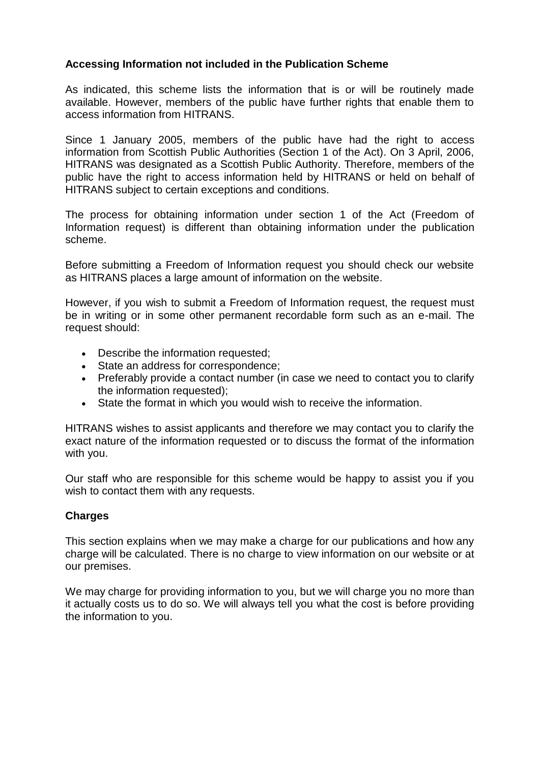## **Accessing Information not included in the Publication Scheme**

As indicated, this scheme lists the information that is or will be routinely made available. However, members of the public have further rights that enable them to access information from HITRANS.

Since 1 January 2005, members of the public have had the right to access information from Scottish Public Authorities (Section 1 of the Act). On 3 April, 2006, HITRANS was designated as a Scottish Public Authority. Therefore, members of the public have the right to access information held by HITRANS or held on behalf of HITRANS subject to certain exceptions and conditions.

The process for obtaining information under section 1 of the Act (Freedom of Information request) is different than obtaining information under the publication scheme.

Before submitting a Freedom of Information request you should check our website as HITRANS places a large amount of information on the website.

However, if you wish to submit a Freedom of Information request, the request must be in writing or in some other permanent recordable form such as an e-mail. The request should:

- Describe the information requested;
- State an address for correspondence;
- Preferably provide a contact number (in case we need to contact you to clarify the information requested);
- State the format in which you would wish to receive the information.

HITRANS wishes to assist applicants and therefore we may contact you to clarify the exact nature of the information requested or to discuss the format of the information with you.

Our staff who are responsible for this scheme would be happy to assist you if you wish to contact them with any requests.

#### **Charges**

This section explains when we may make a charge for our publications and how any charge will be calculated. There is no charge to view information on our website or at our premises.

We may charge for providing information to you, but we will charge you no more than it actually costs us to do so. We will always tell you what the cost is before providing the information to you.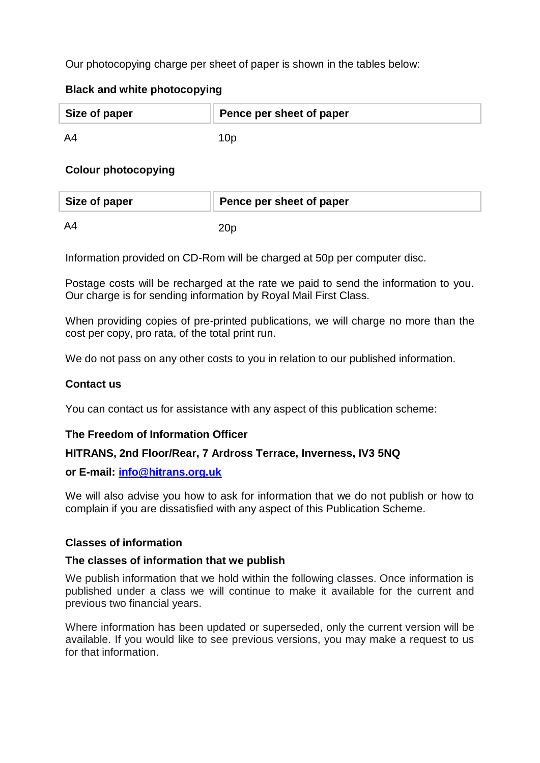Our photocopying charge per sheet of paper is shown in the tables below:

## **Black and white photocopying**

| Size of paper | Pence per sheet of paper |
|---------------|--------------------------|
| A4            |                          |

## **Colour photocopying**

| Size of paper | Pence per sheet of paper |
|---------------|--------------------------|
| A4            |                          |

Information provided on CD-Rom will be charged at 50p per computer disc.

Postage costs will be recharged at the rate we paid to send the information to you. Our charge is for sending information by Royal Mail First Class.

When providing copies of pre-printed publications, we will charge no more than the cost per copy, pro rata, of the total print run.

We do not pass on any other costs to you in relation to our published information.

#### **Contact us**

You can contact us for assistance with any aspect of this publication scheme:

#### **The Freedom of Information Officer**

#### **HITRANS, 2nd Floor/Rear, 7 Ardross Terrace, Inverness, IV3 5NQ**

#### **or E-mail: [info@hitrans.org.uk](mailto:info@hitrans.org.uk)**

We will also advise you how to ask for information that we do not publish or how to complain if you are dissatisfied with any aspect of this Publication Scheme.

#### **Classes of information**

#### **The classes of information that we publish**

We publish information that we hold within the following classes. Once information is published under a class we will continue to make it available for the current and previous two financial years.

Where information has been updated or superseded, only the current version will be available. If you would like to see previous versions, you may make a request to us for that information.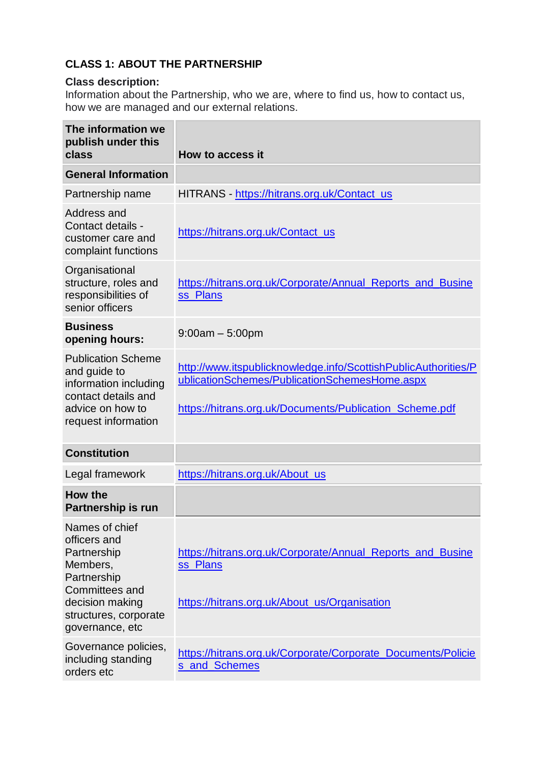# **CLASS 1: ABOUT THE PARTNERSHIP**

## **Class description:**

Information about the Partnership, who we are, where to find us, how to contact us, how we are managed and our external relations.

| The information we<br>publish under this<br>class                                                                                                         | How to access it                                                                                                                                                           |
|-----------------------------------------------------------------------------------------------------------------------------------------------------------|----------------------------------------------------------------------------------------------------------------------------------------------------------------------------|
| <b>General Information</b>                                                                                                                                |                                                                                                                                                                            |
| Partnership name                                                                                                                                          | HITRANS - https://hitrans.org.uk/Contact_us                                                                                                                                |
| Address and<br>Contact details -<br>customer care and<br>complaint functions                                                                              | https://hitrans.org.uk/Contact_us                                                                                                                                          |
| Organisational<br>structure, roles and<br>responsibilities of<br>senior officers                                                                          | https://hitrans.org.uk/Corporate/Annual_Reports_and_Busine<br>ss_Plans                                                                                                     |
| <b>Business</b><br>opening hours:                                                                                                                         | $9:00am - 5:00pm$                                                                                                                                                          |
| <b>Publication Scheme</b><br>and guide to<br>information including<br>contact details and<br>advice on how to<br>request information                      | http://www.itspublicknowledge.info/ScottishPublicAuthorities/P<br>ublicationSchemes/PublicationSchemesHome.aspx<br>https://hitrans.org.uk/Documents/Publication_Scheme.pdf |
| <b>Constitution</b>                                                                                                                                       |                                                                                                                                                                            |
| Legal framework                                                                                                                                           | https://hitrans.org.uk/About_us                                                                                                                                            |
| How the<br>Partnership is run                                                                                                                             |                                                                                                                                                                            |
| Names of chief<br>officers and<br>Partnership<br>Members,<br>Partnership<br>Committees and<br>decision making<br>structures, corporate<br>governance, etc | https://hitrans.org.uk/Corporate/Annual_Reports_and_Busine<br>ss_Plans<br>https://hitrans.org.uk/About_us/Organisation                                                     |
| Governance policies,<br>including standing<br>orders etc                                                                                                  | https://hitrans.org.uk/Corporate/Corporate_Documents/Policie<br>s and Schemes                                                                                              |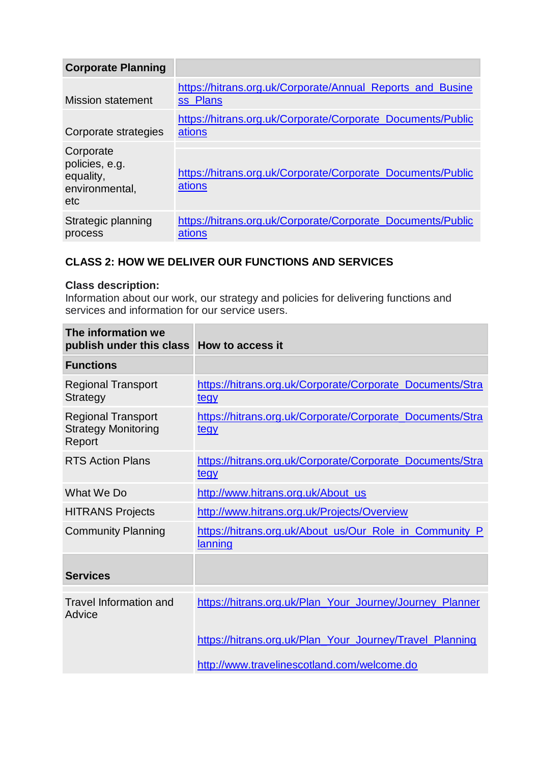| <b>Corporate Planning</b>                                         |                                                                        |
|-------------------------------------------------------------------|------------------------------------------------------------------------|
| <b>Mission statement</b>                                          | https://hitrans.org.uk/Corporate/Annual_Reports_and_Busine<br>ss Plans |
| Corporate strategies                                              | https://hitrans.org.uk/Corporate/Corporate_Documents/Public<br>ations  |
| Corporate<br>policies, e.g.<br>equality,<br>environmental,<br>etc | https://hitrans.org.uk/Corporate/Corporate Documents/Public<br>ations  |
| Strategic planning<br>process                                     | https://hitrans.org.uk/Corporate/Corporate_Documents/Public<br>ations  |

# **CLASS 2: HOW WE DELIVER OUR FUNCTIONS AND SERVICES**

## **Class description:**

Information about our work, our strategy and policies for delivering functions and services and information for our service users.

| The information we<br>publish under this class                    | How to access it                                                         |
|-------------------------------------------------------------------|--------------------------------------------------------------------------|
| <b>Functions</b>                                                  |                                                                          |
| <b>Regional Transport</b><br>Strategy                             | https://hitrans.org.uk/Corporate/Corporate_Documents/Stra<br>tegy        |
| <b>Regional Transport</b><br><b>Strategy Monitoring</b><br>Report | https://hitrans.org.uk/Corporate/Corporate_Documents/Stra<br>tegy        |
| <b>RTS Action Plans</b>                                           | https://hitrans.org.uk/Corporate/Corporate_Documents/Stra<br><u>tegy</u> |
| What We Do                                                        | http://www.hitrans.org.uk/About_us                                       |
| <b>HITRANS Projects</b>                                           | http://www.hitrans.org.uk/Projects/Overview                              |
| <b>Community Planning</b>                                         | https://hitrans.org.uk/About_us/Our_Role_in_Community_P<br>lanning       |
| <b>Services</b>                                                   |                                                                          |
| <b>Travel Information and</b><br>Advice                           | https://hitrans.org.uk/Plan_Your_Journey/Journey_Planner                 |
|                                                                   | https://hitrans.org.uk/Plan_Your_Journey/Travel_Planning                 |
|                                                                   | http://www.travelinescotland.com/welcome.do                              |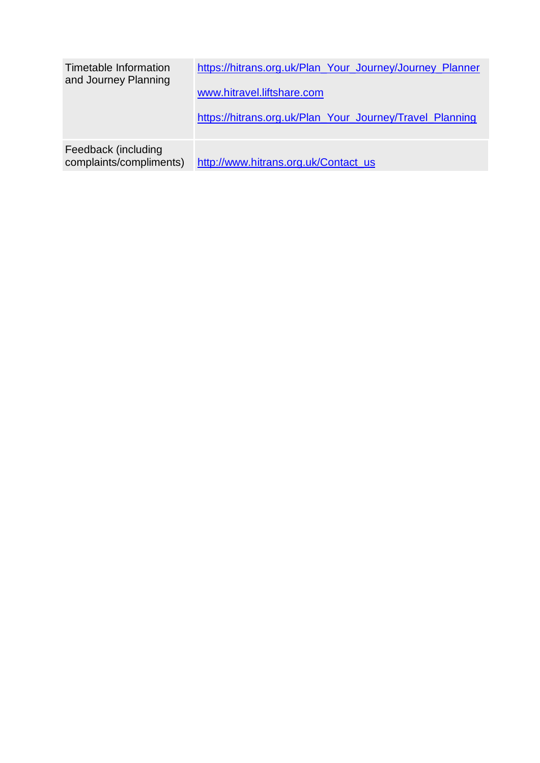| Timetable Information<br>and Journey Planning  | https://hitrans.org.uk/Plan_Your_Journey/Journey_Planner<br>www.hitravel.liftshare.com<br>https://hitrans.org.uk/Plan_Your_Journey/Travel_Planning |
|------------------------------------------------|----------------------------------------------------------------------------------------------------------------------------------------------------|
| Feedback (including<br>complaints/compliments) | http://www.hitrans.org.uk/Contact_us                                                                                                               |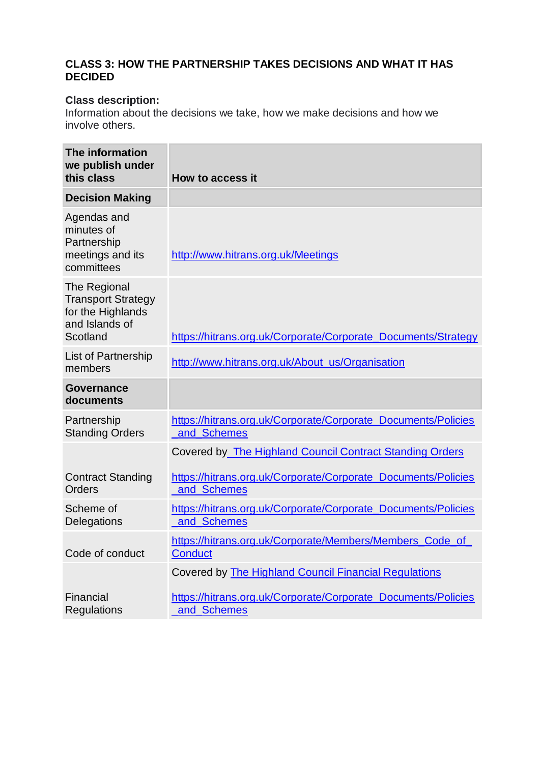## **CLASS 3: HOW THE PARTNERSHIP TAKES DECISIONS AND WHAT IT HAS DECIDED**

## **Class description:**

Information about the decisions we take, how we make decisions and how we involve others.

| The information<br>we publish under<br>this class                                            | How to access it                                                              |
|----------------------------------------------------------------------------------------------|-------------------------------------------------------------------------------|
| <b>Decision Making</b>                                                                       |                                                                               |
| Agendas and<br>minutes of<br>Partnership<br>meetings and its<br>committees                   | http://www.hitrans.org.uk/Meetings                                            |
| The Regional<br><b>Transport Strategy</b><br>for the Highlands<br>and Islands of<br>Scotland | https://hitrans.org.uk/Corporate/Corporate_Documents/Strategy                 |
| <b>List of Partnership</b><br>members                                                        | http://www.hitrans.org.uk/About_us/Organisation                               |
| <b>Governance</b><br>documents                                                               |                                                                               |
| Partnership<br><b>Standing Orders</b>                                                        | https://hitrans.org.uk/Corporate/Corporate_Documents/Policies<br>_and_Schemes |
|                                                                                              | <b>Covered by The Highland Council Contract Standing Orders</b>               |
| <b>Contract Standing</b><br>Orders                                                           | https://hitrans.org.uk/Corporate/Corporate_Documents/Policies<br>and_Schemes  |
| Scheme of<br>Delegations                                                                     | https://hitrans.org.uk/Corporate/Corporate_Documents/Policies<br>and Schemes  |
| Code of conduct                                                                              | https://hitrans.org.uk/Corporate/Members/Members_Code_of<br><b>Conduct</b>    |
|                                                                                              | Covered by The Highland Council Financial Regulations                         |
| Financial<br>Regulations                                                                     | https://hitrans.org.uk/Corporate/Corporate_Documents/Policies<br>and_Schemes  |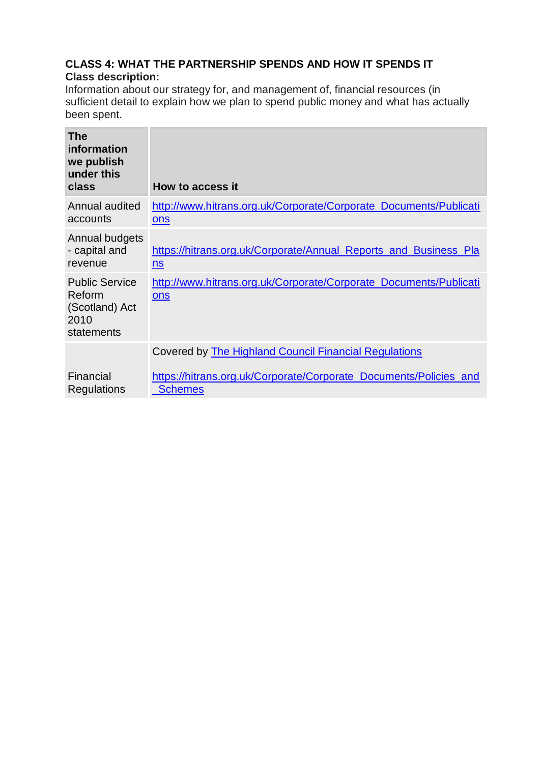## **CLASS 4: WHAT THE PARTNERSHIP SPENDS AND HOW IT SPENDS IT Class description:**

Information about our strategy for, and management of, financial resources (in sufficient detail to explain how we plan to spend public money and what has actually been spent.

| <b>The</b><br>information<br>we publish<br>under this<br>class          | How to access it                                                                              |
|-------------------------------------------------------------------------|-----------------------------------------------------------------------------------------------|
| Annual audited<br>accounts                                              | http://www.hitrans.org.uk/Corporate/Corporate_Documents/Publicati<br>ons                      |
| Annual budgets<br>- capital and<br>revenue                              | https://hitrans.org.uk/Corporate/Annual_Reports_and_Business_Pla<br>$\underline{\mathsf{ns}}$ |
| <b>Public Service</b><br>Reform<br>(Scotland) Act<br>2010<br>statements | http://www.hitrans.org.uk/Corporate/Corporate_Documents/Publicati<br>ons                      |
|                                                                         | <b>Covered by The Highland Council Financial Regulations</b>                                  |
| Financial<br>Regulations                                                | https://hitrans.org.uk/Corporate/Corporate_Documents/Policies_and<br>Schemes                  |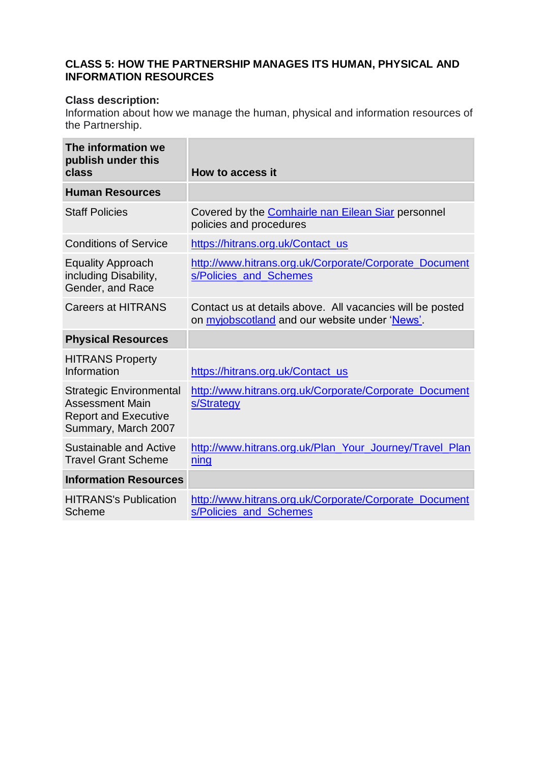## **CLASS 5: HOW THE PARTNERSHIP MANAGES ITS HUMAN, PHYSICAL AND INFORMATION RESOURCES**

#### **Class description:**

Information about how we manage the human, physical and information resources of the Partnership.

| The information we<br>publish under this<br>class                                                              | How to access it                                                                                                   |
|----------------------------------------------------------------------------------------------------------------|--------------------------------------------------------------------------------------------------------------------|
| <b>Human Resources</b>                                                                                         |                                                                                                                    |
| <b>Staff Policies</b>                                                                                          | Covered by the <b>Comhairle nan Eilean Siar</b> personnel<br>policies and procedures                               |
| <b>Conditions of Service</b>                                                                                   | https://hitrans.org.uk/Contact_us                                                                                  |
| <b>Equality Approach</b><br>including Disability,<br>Gender, and Race                                          | http://www.hitrans.org.uk/Corporate/Corporate_Document<br>s/Policies and Schemes                                   |
| <b>Careers at HITRANS</b>                                                                                      | Contact us at details above. All vacancies will be posted<br>on <i>myjobscotland</i> and our website under 'News'. |
| <b>Physical Resources</b>                                                                                      |                                                                                                                    |
| <b>HITRANS Property</b><br>Information                                                                         | https://hitrans.org.uk/Contact_us                                                                                  |
| <b>Strategic Environmental</b><br><b>Assessment Main</b><br><b>Report and Executive</b><br>Summary, March 2007 | http://www.hitrans.org.uk/Corporate/Corporate_Document<br>s/Strategy                                               |
| <b>Sustainable and Active</b><br><b>Travel Grant Scheme</b>                                                    | http://www.hitrans.org.uk/Plan_Your_Journey/Travel_Plan<br>ning                                                    |
| <b>Information Resources</b>                                                                                   |                                                                                                                    |
| <b>HITRANS's Publication</b><br>Scheme                                                                         | http://www.hitrans.org.uk/Corporate/Corporate_Document<br>s/Policies_and_Schemes                                   |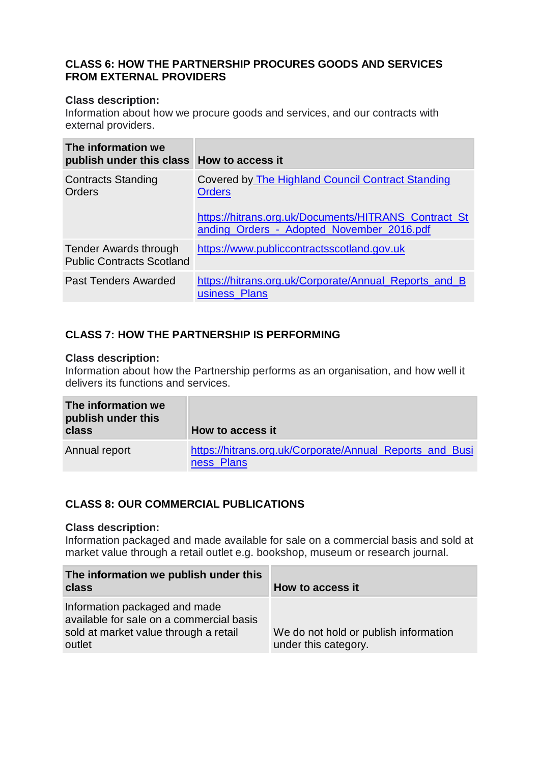### **CLASS 6: HOW THE PARTNERSHIP PROCURES GOODS AND SERVICES FROM EXTERNAL PROVIDERS**

#### **Class description:**

Information about how we procure goods and services, and our contracts with external providers.

| The information we<br>publish under this class How to access it |                                                                                                                                                                                |
|-----------------------------------------------------------------|--------------------------------------------------------------------------------------------------------------------------------------------------------------------------------|
| <b>Contracts Standing</b><br>Orders                             | <b>Covered by The Highland Council Contract Standing</b><br><b>Orders</b><br>https://hitrans.org.uk/Documents/HITRANS_Contract_St<br>anding Orders - Adopted November 2016.pdf |
| Tender Awards through<br><b>Public Contracts Scotland</b>       | https://www.publiccontractsscotland.gov.uk                                                                                                                                     |
| Past Tenders Awarded                                            | https://hitrans.org.uk/Corporate/Annual_Reports_and_B<br>usiness Plans                                                                                                         |

# **CLASS 7: HOW THE PARTNERSHIP IS PERFORMING**

#### **Class description:**

Information about how the Partnership performs as an organisation, and how well it delivers its functions and services.

| The information we<br>publish under this<br>class | How to access it                                                       |
|---------------------------------------------------|------------------------------------------------------------------------|
| Annual report                                     | https://hitrans.org.uk/Corporate/Annual_Reports_and_Busi<br>ness_Plans |

## **CLASS 8: OUR COMMERCIAL PUBLICATIONS**

#### **Class description:**

Information packaged and made available for sale on a commercial basis and sold at market value through a retail outlet e.g. bookshop, museum or research journal.

| The information we publish under this<br>class                                                                               | How to access it                                              |
|------------------------------------------------------------------------------------------------------------------------------|---------------------------------------------------------------|
| Information packaged and made<br>available for sale on a commercial basis<br>sold at market value through a retail<br>outlet | We do not hold or publish information<br>under this category. |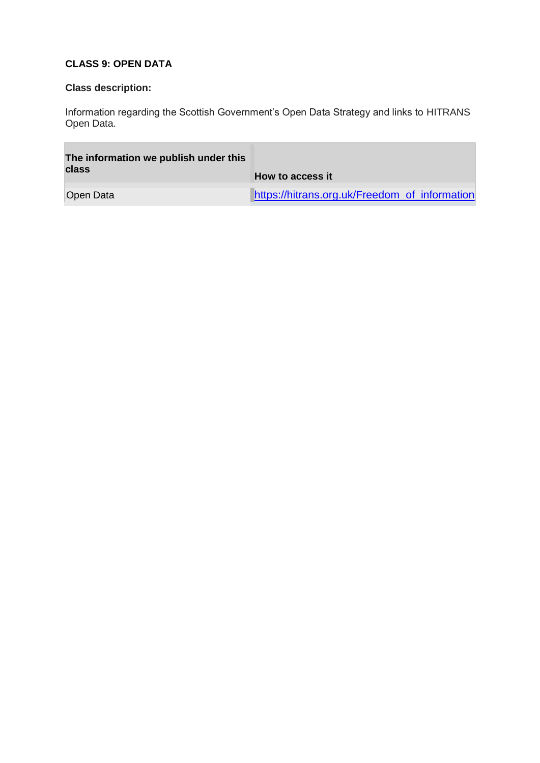## **CLASS 9: OPEN DATA**

## **Class description:**

÷

Information regarding the Scottish Government's Open Data Strategy and links to HITRANS Open Data.

| The information we publish under this<br>class | How to access it                              |
|------------------------------------------------|-----------------------------------------------|
| Open Data                                      | https://hitrans.org.uk/Freedom_of_information |

÷,